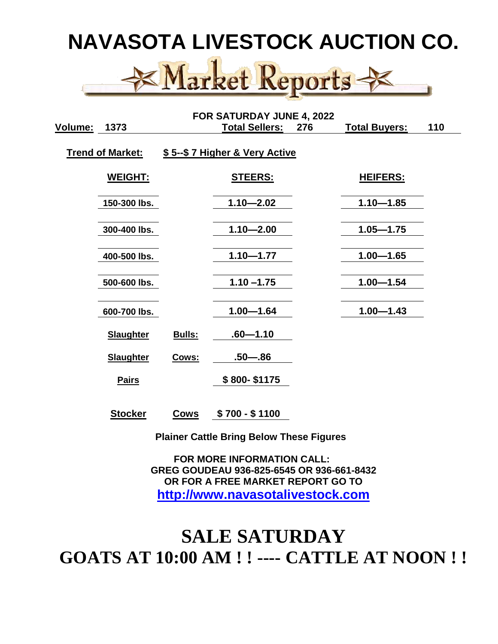# **NAVASOTA LIVESTOCK AUCTION CO.**



| FOR SATURDAY JUNE 4, 2022 |                  |        |                               |     |                      |     |  |
|---------------------------|------------------|--------|-------------------------------|-----|----------------------|-----|--|
| <u>Volume:</u>            | 1373             |        | <b>Total Sellers:</b>         | 276 | <b>Total Buyers:</b> | 110 |  |
| <b>Trend of Market:</b>   |                  |        | \$5--\$7 Higher & Very Active |     |                      |     |  |
|                           | <b>WEIGHT:</b>   |        | <u>STEERS:</u>                |     | <u>HEIFERS:</u>      |     |  |
|                           | 150-300 lbs.     |        | $1.10 - 2.02$                 |     | $1.10 - 1.85$        |     |  |
|                           | 300-400 lbs.     |        | $1.10 - 2.00$                 |     | $1.05 - 1.75$        |     |  |
|                           | 400-500 lbs.     |        | $1.10 - 1.77$                 |     | $1.00 - 1.65$        |     |  |
|                           | 500-600 lbs.     |        | $1.10 - 1.75$                 |     | $1.00 - 1.54$        |     |  |
|                           | 600-700 lbs.     |        | $1.00 - 1.64$                 |     | $1.00 - 1.43$        |     |  |
|                           | <b>Slaughter</b> | Bulls: | $.60 - 1.10$                  |     |                      |     |  |
|                           | <b>Slaughter</b> | Cows:  | $.50 - .86$                   |     |                      |     |  |
|                           | <b>Pairs</b>     |        | \$800-\$1175                  |     |                      |     |  |
|                           | <b>Stocker</b>   | Cows   | \$700 - \$1100                |     |                      |     |  |

 **Plainer Cattle Bring Below These Figures**

 **FOR MORE INFORMATION CALL: GREG GOUDEAU 936-825-6545 OR 936-661-8432 OR FOR A FREE MARKET REPORT GO TO [http://www.navasotalivestock.com](http://www.navasotalivestock.com/)**

### **SALE SATURDAY GOATS AT 10:00 AM ! ! ---- CATTLE AT NOON ! !**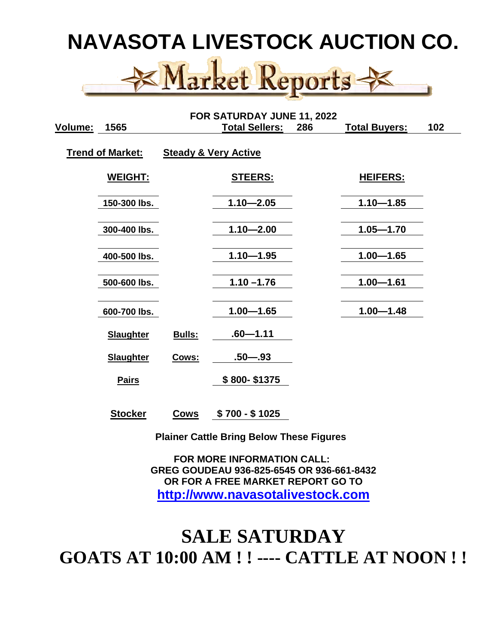# **NAVASOTA LIVESTOCK AUCTION CO.**



| FOR SATURDAY JUNE 11, 2022 |                  |             |                                 |     |                      |     |  |
|----------------------------|------------------|-------------|---------------------------------|-----|----------------------|-----|--|
| Volume:                    | 1565             |             | <b>Total Sellers:</b>           | 286 | <b>Total Buyers:</b> | 102 |  |
| <b>Trend of Market:</b>    |                  |             | <b>Steady &amp; Very Active</b> |     |                      |     |  |
|                            | <u>WEIGHT:</u>   |             | <u>STEERS:</u>                  |     | <u>HEIFERS:</u>      |     |  |
|                            | 150-300 lbs.     |             | $1.10 - 2.05$                   |     | $1.10 - 1.85$        |     |  |
|                            | 300-400 lbs.     |             | $1.10 - 2.00$                   |     | $1.05 - 1.70$        |     |  |
|                            | 400-500 lbs.     |             | $1.10 - 1.95$                   |     | $1.00 - 1.65$        |     |  |
|                            | 500-600 lbs.     |             | $1.10 - 1.76$                   |     | $1.00 - 1.61$        |     |  |
|                            | 600-700 lbs.     |             | $1.00 - 1.65$                   |     | $1.00 - 1.48$        |     |  |
|                            | <b>Slaughter</b> | Bulls:      | $.60 - 1.11$                    |     |                      |     |  |
|                            | <b>Slaughter</b> | Cows:       | $.50 - .93$                     |     |                      |     |  |
|                            | <b>Pairs</b>     |             | \$800-\$1375                    |     |                      |     |  |
|                            | <b>Stocker</b>   | <b>Cows</b> | $$700 - $1025$                  |     |                      |     |  |

 **Plainer Cattle Bring Below These Figures**

 **FOR MORE INFORMATION CALL: GREG GOUDEAU 936-825-6545 OR 936-661-8432 OR FOR A FREE MARKET REPORT GO TO [http://www.navasotalivestock.com](http://www.navasotalivestock.com/)**

### **SALE SATURDAY GOATS AT 10:00 AM ! ! ---- CATTLE AT NOON ! !**